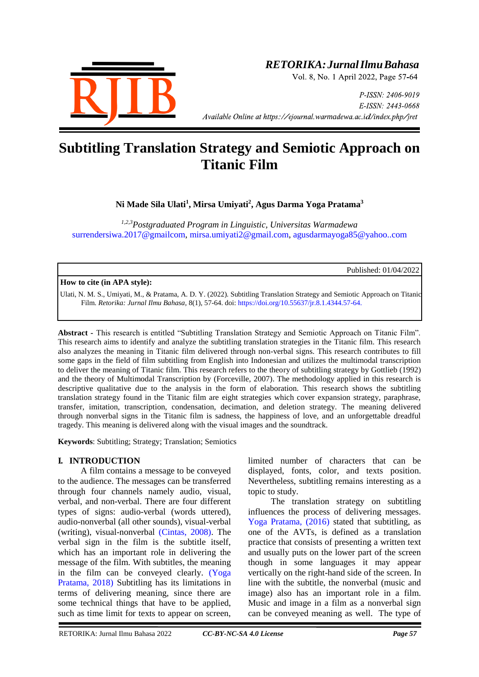

# *RETORIKA:JurnalIlmuBahasa*

Vol. 8, No. 1 April 2022, Page 57-64

P-ISSN: 2406-9019 E-ISSN: 2443-0668 *Available Online at https://ejournal.warmadewa.ac.id/index.php/jret* 

# **Subtitling Translation Strategy and Semiotic Approach on Titanic Film**

**Ni Made Sila Ulati<sup>1</sup> , Mirsa Umiyati<sup>2</sup> , Agus Darma Yoga Pratama<sup>3</sup>**

*1,2,3Postgraduated Program in Linguistic, Universitas Warmadewa* [surrendersiwa.2017@gmailcom,](mailto:surrendersiwa.2017@gmailcom) [mirsa.umiyati2@gmail.com,](mailto:mirsa.umiyati2@gmail.com) [agusdarmayoga85@yahoo..com](mailto:agusdarmayoga85@yahoo..com)

Published: 01/04/2022

#### **How to cite (in APA style):**

Ulati, N. M. S., Umiyati, M., & Pratama, A. D. Y. (2022). Subtitling Translation Strategy and Semiotic Approach on Titanic Film. *Retorika: Jurnal Ilmu Bahasa*, 8(1), 57-64. doi:<https://doi.org/10.55637/jr.8.1.4344.57-64.>

**Abstract -** This research is entitled "Subtitling Translation Strategy and Semiotic Approach on Titanic Film". This research aims to identify and analyze the subtitling translation strategies in the Titanic film. This research also analyzes the meaning in Titanic film delivered through non-verbal signs. This research contributes to fill some gaps in the field of film subtitling from English into Indonesian and utilizes the multimodal transcription to deliver the meaning of Titanic film. This research refers to the theory of subtitling strategy by Gottlieb (1992) and the theory of Multimodal Transcription by [\(Forceville, 2007\).](#page-6-0) The methodology applied in this research is descriptive qualitative due to the analysis in the form of elaboration. This research shows the subtitling translation strategy found in the Titanic film are eight strategies which cover expansion strategy, paraphrase, transfer, imitation, transcription, condensation, decimation, and deletion strategy. The meaning delivered through nonverbal signs in the Titanic film is sadness, the happiness of love, and an unforgettable dreadful tragedy. This meaning is delivered along with the visual images and the soundtrack.

**Keywords**: Subtitling; Strategy; Translation; Semiotics

#### **I. INTRODUCTION**

A film contains a message to be conveyed to the audience. The messages can be transferred through four channels namely audio, visual, verbal, and non-verbal. There are four different types of signs: audio-verbal (words uttered), audio-nonverbal (all other sounds), visual-verbal (writing), visual-nonverbal [\(Cintas, 2008\).](#page-7-0) The verbal sign in the film is the subtitle itself, which has an important role in delivering the message of the film. With subtitles, the meaning in the film can be conveyed clearly. [\(Yoga](#page-6-0)  Pratama, 2018) Subtitling has its limitations in terms of delivering meaning, since there are some technical things that have to be applied, such as time limit for texts to appear on screen,

limited number of characters that can be displayed, fonts, color, and texts position. Nevertheless, subtitling remains interesting as a topic to study.

The translation strategy on subtitling influences the process of delivering messages. [Yoga Pratama, \(2016\)](#page-6-0) stated that subtitling, as one of the AVTs, is defined as a translation practice that consists of presenting a written text and usually puts on the lower part of the screen though in some languages it may appear vertically on the right-hand side of the screen. In line with the subtitle, the nonverbal (music and image) also has an important role in a film. Music and image in a film as a nonverbal sign can be conveyed meaning as well. The type of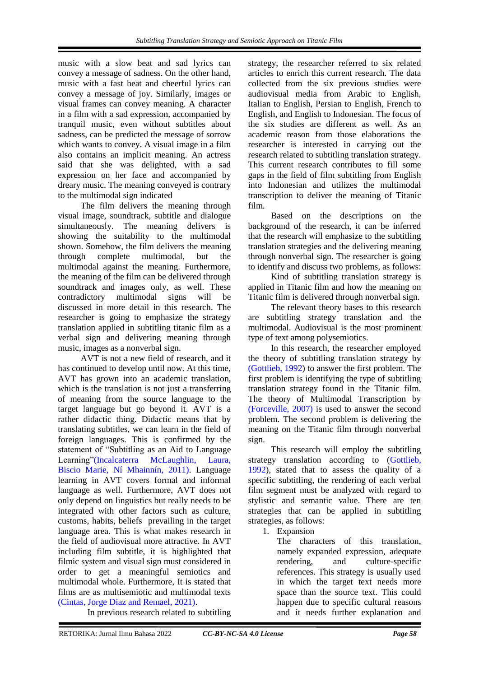music with a slow beat and sad lyrics can convey a message of sadness. On the other hand, music with a fast beat and cheerful lyrics can convey a message of joy. Similarly, images or visual frames can convey meaning. A character in a film with a sad expression, accompanied by tranquil music, even without subtitles about sadness, can be predicted the message of sorrow which wants to convey. A visual image in a film also contains an implicit meaning. An actress said that she was delighted, with a sad expression on her face and accompanied by dreary music. The meaning conveyed is contrary to the multimodal sign indicated

The film delivers the meaning through visual image, soundtrack, subtitle and dialogue simultaneously. The meaning delivers is showing the suitability to the multimodal shown. Somehow, the film delivers the meaning through complete multimodal, but the multimodal against the meaning. Furthermore, the meaning of the film can be delivered through soundtrack and images only, as well. These contradictory multimodal signs will be discussed in more detail in this research. The researcher is going to emphasize the strategy translation applied in subtitling titanic film as a verbal sign and delivering meaning through music, images as a nonverbal sign.

AVT is not a new field of research, and it has continued to develop until now. At this time, AVT has grown into an academic translation, which is the translation is not just a transferring of meaning from the source language to the target language but go beyond it. AVT is a rather didactic thing. Didactic means that by translating subtitles, we can learn in the field of foreign languages. This is confirmed by the statement of "Subtitling as an Aid to Language Learning["\(Incalcaterra McLaughlin, Laura,](#page-6-0)  Biscio Marie, Ní Mhainnín, 2011). Language learning in AVT covers formal and informal language as well. Furthermore, AVT does not only depend on linguistics but really needs to be integrated with other factors such as culture, customs, habits, beliefs prevailing in the target language area. This is what makes research in the field of audiovisual more attractive. In AVT including film subtitle, it is highlighted that filmic system and visual sign must considered in order to get a meaningful semiotics and multimodal whole. Furthermore, It is stated that films are as multisemiotic and multimodal texts [\(Cintas, Jorge Diaz and Remael, 2021\).](#page-6-0)

In previous research related to subtitling

strategy, the researcher referred to six related articles to enrich this current research. The data collected from the six previous studies were audiovisual media from Arabic to English, Italian to English, Persian to English, French to English, and English to Indonesian. The focus of the six studies are different as well. As an academic reason from those elaborations the researcher is interested in carrying out the research related to subtitling translation strategy. This current research contributes to fill some gaps in the field of film subtitling from English into Indonesian and utilizes the multimodal transcription to deliver the meaning of Titanic film.

Based on the descriptions on the background of the research, it can be inferred that the research will emphasize to the subtitling translation strategies and the delivering meaning through nonverbal sign. The researcher is going to identify and discuss two problems, as follows:

Kind of subtitling translation strategy is applied in Titanic film and how the meaning on Titanic film is delivered through nonverbal sign.

The relevant theory bases to this research are subtitling strategy translation and the multimodal. Audiovisual is the most prominent type of text among polysemiotics.

In this research, the researcher employed the theory of subtitling translation strategy by [\(Gottlieb, 1992\)](#page-6-0) to answer the first problem. The first problem is identifying the type of subtitling translation strategy found in the Titanic film. The theory of Multimodal Transcription by [\(Forceville, 2007\)](#page-6-0) is used to answer the second problem. The second problem is delivering the meaning on the Titanic film through nonverbal sign.

This research will employ the subtitling strategy translation according to [\(Gottlieb,](#page-6-0)  [1992\)](#page-6-0), stated that to assess the quality of a specific subtitling, the rendering of each verbal film segment must be analyzed with regard to stylistic and semantic value. There are ten strategies that can be applied in subtitling strategies, as follows:

1. Expansion

The characters of this translation, namely expanded expression, adequate rendering, and culture-specific references. This strategy is usually used in which the target text needs more space than the source text. This could happen due to specific cultural reasons and it needs further explanation and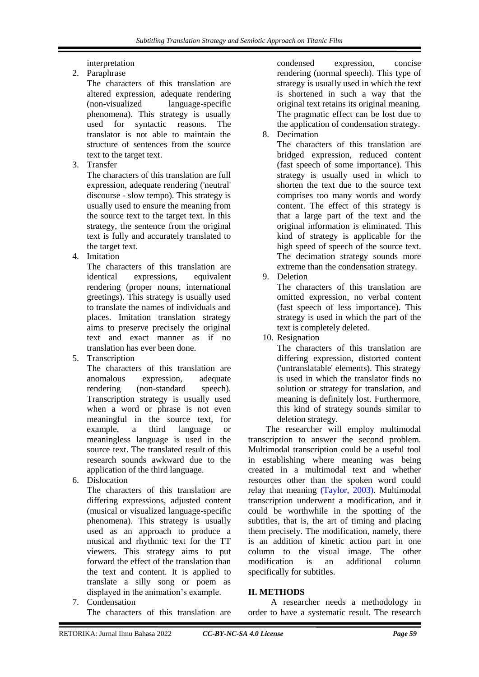interpretation

2. Paraphrase

The characters of this translation are altered expression, adequate rendering (non-visualized language-specific phenomena). This strategy is usually used for syntactic reasons. The translator is not able to maintain the structure of sentences from the source text to the target text.

3. Transfer

The characters of this translation are full expression, adequate rendering ('neutral' discourse - slow tempo). This strategy is usually used to ensure the meaning from the source text to the target text. In this strategy, the sentence from the original text is fully and accurately translated to the target text.

4. Imitation

The characters of this translation are identical expressions, equivalent rendering (proper nouns, international greetings). This strategy is usually used to translate the names of individuals and places. Imitation translation strategy aims to preserve precisely the original text and exact manner as if no translation has ever been done.

5. Transcription

The characters of this translation are anomalous expression, adequate rendering (non-standard speech). Transcription strategy is usually used when a word or phrase is not even meaningful in the source text, for example, a third language or meaningless language is used in the source text. The translated result of this research sounds awkward due to the application of the third language.

6. Dislocation

The characters of this translation are differing expressions, adjusted content (musical or visualized language-specific phenomena). This strategy is usually used as an approach to produce a musical and rhythmic text for the TT viewers. This strategy aims to put forward the effect of the translation than the text and content. It is applied to translate a silly song or poem as displayed in the animation's example.

7. Condensation The characters of this translation are

condensed expression, concise rendering (normal speech). This type of strategy is usually used in which the text is shortened in such a way that the original text retains its original meaning. The pragmatic effect can be lost due to the application of condensation strategy.

8. Decimation

The characters of this translation are bridged expression, reduced content (fast speech of some importance). This strategy is usually used in which to shorten the text due to the source text comprises too many words and wordy content. The effect of this strategy is that a large part of the text and the original information is eliminated. This kind of strategy is applicable for the high speed of speech of the source text. The decimation strategy sounds more extreme than the condensation strategy.

9. Deletion

The characters of this translation are omitted expression, no verbal content (fast speech of less importance). This strategy is used in which the part of the text is completely deleted.

10. Resignation

The characters of this translation are differing expression, distorted content ('untranslatable' elements). This strategy is used in which the translator finds no solution or strategy for translation, and meaning is definitely lost. Furthermore, this kind of strategy sounds similar to deletion strategy.

 The researcher will employ multimodal transcription to answer the second problem. Multimodal transcription could be a useful tool in establishing where meaning was being created in a multimodal text and whether resources other than the spoken word could relay that meaning [\(Taylor, 2003\).](#page-6-0) Multimodal transcription underwent a modification, and it could be worthwhile in the spotting of the subtitles, that is, the art of timing and placing them precisely. The modification, namely, there is an addition of kinetic action part in one column to the visual image. The other modification is an additional column specifically for subtitles.

### **II. METHODS**

A researcher needs a methodology in order to have a systematic result. The research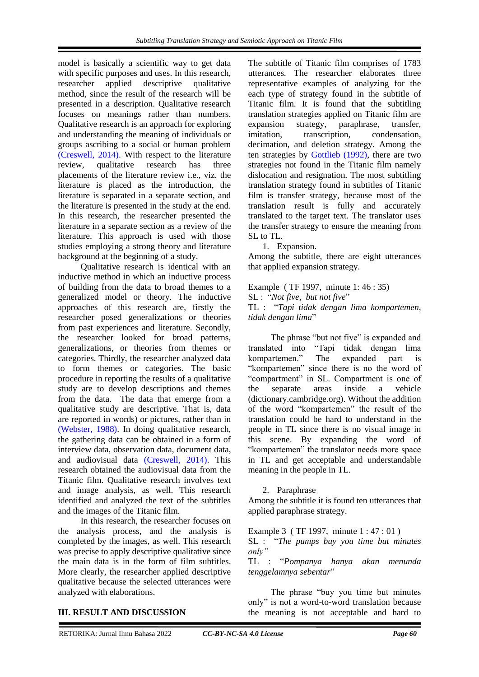model is basically a scientific way to get data with specific purposes and uses. In this research, researcher applied descriptive qualitative method, since the result of the research will be presented in a description. Qualitative research focuses on meanings rather than numbers. Qualitative research is an approach for exploring and understanding the meaning of individuals or groups ascribing to a social or human problem [\(Creswell, 2014\).](#page-6-0) With respect to the literature review, qualitative research has three placements of the literature review i.e., viz. the literature is placed as the introduction, the literature is separated in a separate section, and the literature is presented in the study at the end. In this research, the researcher presented the literature in a separate section as a review of the literature. This approach is used with those studies employing a strong theory and literature background at the beginning of a study.

Qualitative research is identical with an inductive method in which an inductive process of building from the data to broad themes to a generalized model or theory. The inductive approaches of this research are, firstly the researcher posed generalizations or theories from past experiences and literature. Secondly, the researcher looked for broad patterns, generalizations, or theories from themes or categories. Thirdly, the researcher analyzed data to form themes or categories. The basic procedure in reporting the results of a qualitative study are to develop descriptions and themes from the data. The data that emerge from a qualitative study are descriptive. That is, data are reported in words) or pictures, rather than in [\(Webster, 1988\).](#page-6-0) In doing qualitative research, the gathering data can be obtained in a form of interview data, observation data, document data, and audiovisual data [\(Creswell, 2014\).](#page-6-0) This research obtained the audiovisual data from the Titanic film. Qualitative research involves text and image analysis, as well. This research identified and analyzed the text of the subtitles and the images of the Titanic film.

In this research, the researcher focuses on the analysis process, and the analysis is completed by the images, as well. This research was precise to apply descriptive qualitative since the main data is in the form of film subtitles. More clearly, the researcher applied descriptive qualitative because the selected utterances were analyzed with elaborations.

The subtitle of Titanic film comprises of 1783 utterances. The researcher elaborates three representative examples of analyzing for the each type of strategy found in the subtitle of Titanic film. It is found that the subtitling translation strategies applied on Titanic film are expansion strategy, paraphrase, transfer, imitation, transcription, condensation, decimation, and deletion strategy. Among the ten strategies by [Gottlieb \(1992\),](#page-6-0) there are two strategies not found in the Titanic film namely dislocation and resignation. The most subtitling translation strategy found in subtitles of Titanic film is transfer strategy, because most of the translation result is fully and accurately translated to the target text. The translator uses the transfer strategy to ensure the meaning from SL to TL.

1. Expansion.

Among the subtitle, there are eight utterances that applied expansion strategy.

Example ( TF 1997, minute 1: 46 : 35) SL : "*Not five, but not five*" TL : "*Tapi tidak dengan lima kompartemen, tidak dengan lima*"

The phrase "but not five" is expanded and translated into "Tapi tidak dengan lima kompartemen." The expanded part is "kompartemen" since there is no the word of "compartment" in SL. Compartment is one of the separate areas inside a vehicle (dictionary.cambridge.org). Without the addition of the word "kompartemen" the result of the translation could be hard to understand in the people in TL since there is no visual image in this scene. By expanding the word of "kompartemen" the translator needs more space in TL and get acceptable and understandable meaning in the people in TL.

#### 2. Paraphrase

Among the subtitle it is found ten utterances that applied paraphrase strategy.

Example 3 (TF 1997, minute 1 : 47 : 01)

SL : "*The pumps buy you time but minutes only"*

TL : "*Pompanya hanya akan menunda tenggelamnya sebentar*"

The phrase "buy you time but minutes only" is not a word-to-word translation because the meaning is not acceptable and hard to

#### **III. RESULT AND DISCUSSION**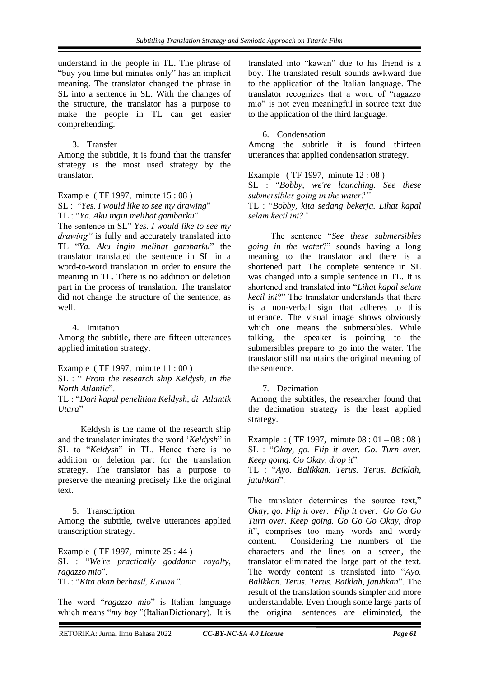understand in the people in TL. The phrase of "buy you time but minutes only" has an implicit meaning. The translator changed the phrase in SL into a sentence in SL. With the changes of the structure, the translator has a purpose to make the people in TL can get easier comprehending.

#### 3. Transfer

Among the subtitle, it is found that the transfer strategy is the most used strategy by the translator.

Example ( TF 1997, minute 15 : 08 ) SL : "*Yes. I would like to see my drawing*" TL : "*Ya. Aku ingin melihat gambarku*" The sentence in SL" *Yes. I would like to see my drawing"* is fully and accurately translated into TL "*Ya. Aku ingin melihat gambarku*" the translator translated the sentence in SL in a word-to-word translation in order to ensure the meaning in TL. There is no addition or deletion part in the process of translation. The translator did not change the structure of the sentence, as well.

#### 4. Imitation

Among the subtitle, there are fifteen utterances applied imitation strategy.

Example ( TF 1997, minute 11 : 00 )

SL : " *From the research ship Keldysh, in the North Atlantic*".

TL : "*Dari kapal penelitian Keldysh, di Atlantik Utara*"

Keldysh is the name of the research ship and the translator imitates the word '*Keldysh*" in SL to "*Keldysh*" in TL. Hence there is no addition or deletion part for the translation strategy. The translator has a purpose to preserve the meaning precisely like the original text.

#### 5. Transcription

Among the subtitle, twelve utterances applied transcription strategy.

Example ( TF 1997, minute 25 : 44 ) SL : "*We're practically goddamn royalty, ragazzo mio*". TL : "*Kita akan berhasil, Kawan".*

The word "*ragazzo mio*" is Italian language which means "*my boy* "(ItalianDictionary). It is

translated into "kawan" due to his friend is a boy. The translated result sounds awkward due to the application of the Italian language. The translator recognizes that a word of "ragazzo mio" is not even meaningful in source text due to the application of the third language.

#### 6. Condensation

Among the subtitle it is found thirteen utterances that applied condensation strategy.

Example ( TF 1997, minute 12 : 08 ) SL : "*Bobby, we're launching. See these submersibles going in the water?"*

TL : "*Bobby, kita sedang bekerja. Lihat kapal selam kecil ini?"*

The sentence "*See these submersibles going in the water*?" sounds having a long meaning to the translator and there is a shortened part. The complete sentence in SL was changed into a simple sentence in TL. It is shortened and translated into "*Lihat kapal selam kecil ini*?" The translator understands that there is a non-verbal sign that adheres to this utterance. The visual image shows obviously which one means the submersibles. While talking, the speaker is pointing to the submersibles prepare to go into the water. The translator still maintains the original meaning of the sentence.

#### 7. Decimation

Among the subtitles, the researcher found that the decimation strategy is the least applied strategy.

Example : (TF 1997, minute  $08 : 01 - 08 : 08$ ) SL : "*Okay, go. Flip it over. Go. Turn over. Keep going. Go Okay, drop it*".

TL : "*Ayo. Balikkan. Terus. Terus. Baiklah, jatuhkan*".

The translator determines the source text," *Okay, go. Flip it over. Flip it over. Go Go Go Turn over. Keep going. Go Go Go Okay, drop it*", comprises too many words and wordy content. Considering the numbers of the characters and the lines on a screen, the translator eliminated the large part of the text. The wordy content is translated into "*Ayo. Balikkan. Terus. Terus. Baiklah, jatuhkan*". The result of the translation sounds simpler and more understandable. Even though some large parts of the original sentences are eliminated, the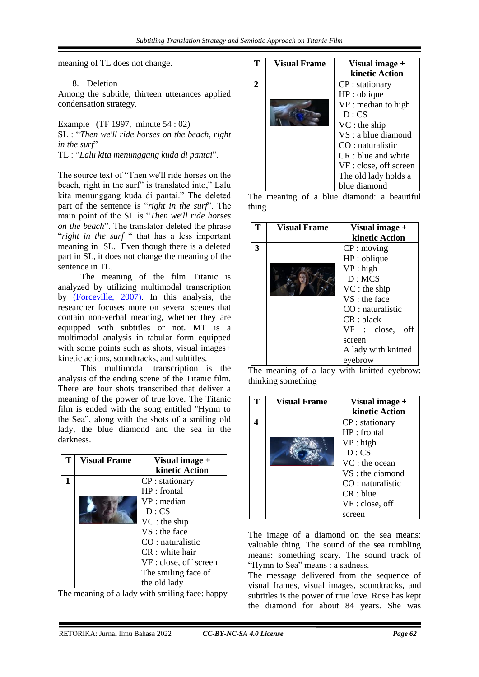meaning of TL does not change.

#### 8. Deletion

Among the subtitle, thirteen utterances applied condensation strategy.

Example (TF 1997, minute 54 : 02) SL : "*Then we'll ride horses on the beach, right in the surf*" TL : "*Lalu kita menunggang kuda di pantai*".

The source text of "Then we'll ride horses on the beach, right in the surf" is translated into," Lalu kita menunggang kuda di pantai." The deleted part of the sentence is "*right in the surf*". The main point of the SL is "*Then we'll ride horses on the beach*". The translator deleted the phrase "*right in the surf* " that has a less important meaning in SL. Even though there is a deleted part in SL, it does not change the meaning of the

sentence in TL. The meaning of the film Titanic is analyzed by utilizing multimodal transcription by [\(Forceville, 2007\).](#page-6-0) In this analysis, the researcher focuses more on several scenes that contain non-verbal meaning, whether they are equipped with subtitles or not. MT is a multimodal analysis in tabular form equipped with some points such as shots, visual images+ kinetic actions, soundtracks, and subtitles.

This multimodal transcription is the analysis of the ending scene of the Titanic film. There are four shots transcribed that deliver a meaning of the power of true love. The Titanic film is ended with the song entitled "Hymn to the Sea", along with the shots of a smiling old lady, the blue diamond and the sea in the darkness.

| <b>Visual Frame</b> | Visual image +         |
|---------------------|------------------------|
|                     | kinetic Action         |
|                     | CP : stationary        |
|                     | $HP:$ frontal          |
|                     | $VP:$ median           |
|                     | D:CS                   |
|                     | $VC:$ the ship         |
|                     | $VS:$ the face         |
|                     | $CO:$ naturalistic     |
|                     | $CR:$ white hair       |
|                     | VF : close, off screen |
|                     | The smiling face of    |
|                     | the old lady           |

The meaning of a lady with smiling face: happy

| <b>Visual Frame</b> | Visual image +         |
|---------------------|------------------------|
|                     | kinetic Action         |
|                     | $CP:$ stationary       |
|                     | HP: oblique            |
|                     | $VP:$ median to high   |
|                     | D:CS                   |
|                     | $VC:$ the ship         |
|                     | VS : a blue diamond    |
|                     | $CO:$ naturalistic     |
|                     | $CR: blue$ and white   |
|                     | VF : close, off screen |
|                     | The old lady holds a   |
|                     | blue diamond           |

The meaning of a blue diamond: a beautiful thing

|   | <b>Visual Frame</b> | Visual image +      |
|---|---------------------|---------------------|
|   |                     | kinetic Action      |
| 3 |                     | $CP:$ moving        |
|   |                     | HP: oblique         |
|   |                     | VP: high            |
|   |                     | D: MCS              |
|   |                     | $VC:$ the ship      |
|   |                     | VS : the face       |
|   |                     | $CO:$ naturalistic  |
|   |                     | CR:black            |
|   |                     | VF : close,<br>off  |
|   |                     | screen              |
|   |                     | A lady with knitted |
|   |                     | eyebrow             |

The meaning of a lady with knitted eyebrow: thinking something

| <b>Visual Frame</b> | Visual image +   |
|---------------------|------------------|
|                     | kinetic Action   |
|                     | $CP:$ stationary |
|                     | HP : frontal     |
|                     | VP: high         |
|                     | D:CS             |
|                     | VC : the ocean   |
|                     | VS : the diamond |
|                     | CO: naturalistic |
|                     | CR: blue         |
|                     | VF: close, off   |
|                     | screen           |

The image of a diamond on the sea means: valuable thing. The sound of the sea rumbling means: something scary. The sound track of "Hymn to Sea" means : a sadness.

The message delivered from the sequence of visual frames, visual images, soundtracks, and subtitles is the power of true love. Rose has kept the diamond for about 84 years. She was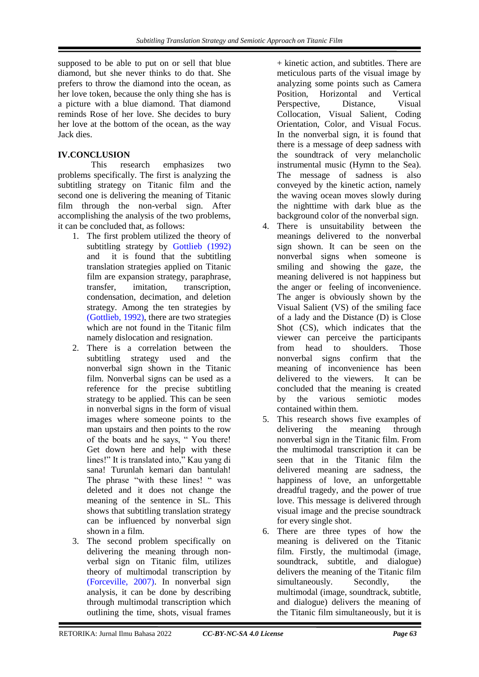supposed to be able to put on or sell that blue diamond, but she never thinks to do that. She prefers to throw the diamond into the ocean, as her love token, because the only thing she has is a picture with a blue diamond. That diamond reminds Rose of her love. She decides to bury her love at the bottom of the ocean, as the way Jack dies.

## **IV.CONCLUSION**

 This research emphasizes two problems specifically. The first is analyzing the subtitling strategy on Titanic film and the second one is delivering the meaning of Titanic film through the non-verbal sign. After accomplishing the analysis of the two problems, it can be concluded that, as follows:

- 1. The first problem utilized the theory of subtitling strategy by [Gottlieb \(1992\)](#page-6-0) and it is found that the subtitling translation strategies applied on Titanic film are expansion strategy, paraphrase, transfer, imitation, transcription, condensation, decimation, and deletion strategy. Among the ten strategies by [\(Gottlieb, 1992\),](#page-6-0) there are two strategies which are not found in the Titanic film namely dislocation and resignation.
- <span id="page-6-0"></span>2. There is a correlation between the subtitling strategy used and the nonverbal sign shown in the Titanic film. Nonverbal signs can be used as a reference for the precise subtitling strategy to be applied. This can be seen in nonverbal signs in the form of visual images where someone points to the man upstairs and then points to the row of the boats and he says, " You there! Get down here and help with these lines!" It is translated into," Kau yang di sana! Turunlah kemari dan bantulah! The phrase "with these lines! " was deleted and it does not change the meaning of the sentence in SL. This shows that subtitling translation strategy can be influenced by nonverbal sign shown in a film.
- 3. The second problem specifically on delivering the meaning through nonverbal sign on Titanic film, utilizes theory of multimodal transcription by [\(Forceville, 2007\).](#page-6-0) In nonverbal sign analysis, it can be done by describing through multimodal transcription which outlining the time, shots, visual frames

+ kinetic action, and subtitles. There are meticulous parts of the visual image by analyzing some points such as Camera<br>Position. Horizontal and Vertical Position, Horizontal Perspective, Distance, Visual Collocation, Visual Salient, Coding Orientation, Color, and Visual Focus. In the nonverbal sign, it is found that there is a message of deep sadness with the soundtrack of very melancholic instrumental music (Hymn to the Sea). The message of sadness is also conveyed by the kinetic action, namely the waving ocean moves slowly during the nighttime with dark blue as the background color of the nonverbal sign.

- 4. There is unsuitability between the meanings delivered to the nonverbal sign shown. It can be seen on the nonverbal signs when someone is smiling and showing the gaze, the meaning delivered is not happiness but the anger or feeling of inconvenience. The anger is obviously shown by the Visual Salient (VS) of the smiling face of a lady and the Distance (D) is Close Shot (CS), which indicates that the viewer can perceive the participants from head to shoulders. Those nonverbal signs confirm that the meaning of inconvenience has been delivered to the viewers. It can be concluded that the meaning is created by the various semiotic modes contained within them.
- 5. This research shows five examples of delivering the meaning through nonverbal sign in the Titanic film. From the multimodal transcription it can be seen that in the Titanic film the delivered meaning are sadness, the happiness of love, an unforgettable dreadful tragedy, and the power of true love. This message is delivered through visual image and the precise soundtrack for every single shot.
- 6. There are three types of how the meaning is delivered on the Titanic film. Firstly, the multimodal (image, soundtrack, subtitle, and dialogue) delivers the meaning of the Titanic film simultaneously. Secondly, the multimodal (image, soundtrack, subtitle, and dialogue) delivers the meaning of the Titanic film simultaneously, but it is